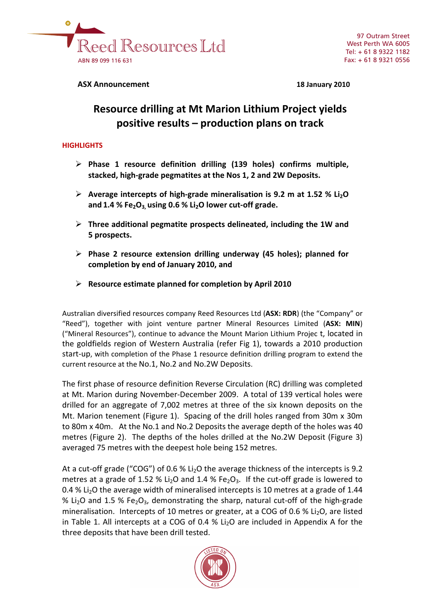

**ASX Announcement 18 January 2010**

# **Resource drilling at Mt Marion Lithium Project yields positive results – production plans on track**

## **HIGHLIGHTS**

- ¾ **Phase 1 resource definition drilling (139 holes) confirms multiple, stacked, high‐grade pegmatites at the Nos 1, 2 and 2W Deposits.**
- ¾ **Average intercepts of high‐grade mineralisation is 9.2 m at 1.52 % Li2O and 1.4 % Fe2O3, using 0.6 % Li2O lower cut‐off grade.**
- ¾ **Three additional pegmatite prospects delineated, including the 1W and 5 prospects.**
- ¾ **Phase 2 resource extension drilling underway (45 holes); planned for completion by end of January 2010, and**
- ¾ **Resource estimate planned for completion by April 2010**

Australian diversified resources company Reed Resources Ltd (**ASX: RDR**) (the "Company" or "Reed"), together with joint venture partner Mineral Resources Limited (**ASX: MIN**) ("Mineral Resources"), continue to advance the Mount Marion Lithium Projec t, located in the goldfields region of Western Australia (refer Fig 1), towards a 2010 production start-up, with completion of the Phase 1 resource definition drilling program to extend the current resource at the No.1, No.2 and No.2W Deposits.

The first phase of resource definition Reverse Circulation (RC) drilling was completed at Mt. Marion during November‐December 2009. A total of 139 vertical holes were drilled for an aggregate of 7,002 metres at three of the six known deposits on the Mt. Marion tenement (Figure 1). Spacing of the drill holes ranged from 30m x 30m to 80m x 40m. At the No.1 and No.2 Deposits the average depth of the holes was 40 metres (Figure 2). The depths of the holes drilled at the No.2W Deposit (Figure 3) averaged 75 metres with the deepest hole being 152 metres.

At a cut-off grade ("COG") of 0.6 % Li<sub>2</sub>O the average thickness of the intercepts is 9.2 metres at a grade of 1.52 % Li<sub>2</sub>O and 1.4 % Fe<sub>2</sub>O<sub>3</sub>. If the cut-off grade is lowered to 0.4 % Li<sub>2</sub>O the average width of mineralised intercepts is 10 metres at a grade of 1.44 % Li<sub>2</sub>O and 1.5 % Fe<sub>2</sub>O<sub>3</sub>, demonstrating the sharp, natural cut-off of the high-grade mineralisation. Intercepts of 10 metres or greater, at a COG of 0.6 %  $Li<sub>2</sub>O$ , are listed in Table 1. All intercepts at a COG of 0.4 %  $Li<sub>2</sub>O$  are included in Appendix A for the three deposits that have been drill tested.

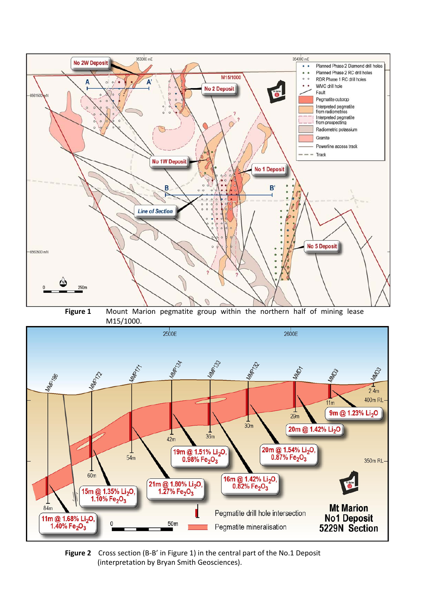

**Figure 1** Mount Marion pegmatite group within the northern half of mining lease M15/1000.



**Figure 2** Cross section (B-B' in Figure 1) in the central part of the No.1 Deposit (interpretation by Bryan Smith Geosciences).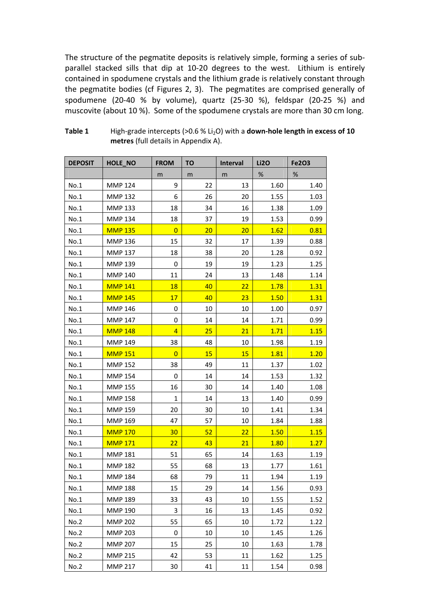The structure of the pegmatite deposits is relatively simple, forming a series of sub‐ parallel stacked sills that dip at 10‐20 degrees to the west. Lithium is entirely contained in spodumene crystals and the lithium grade is relatively constant through the pegmatite bodies (cf Figures 2, 3). The pegmatites are comprised generally of spodumene (20‐40 % by volume), quartz (25‐30 %), feldspar (20‐25 %) and muscovite (about 10 %). Some of the spodumene crystals are more than 30 cm long.

| <b>DEPOSIT</b> | HOLE_NO        | <b>FROM</b>    | <b>TO</b> | Interval | <b>Li2O</b> | <b>Fe2O3</b> |
|----------------|----------------|----------------|-----------|----------|-------------|--------------|
|                |                | m              | m         | m        | $\%$        | $\%$         |
| No.1           | <b>MMP 124</b> | 9              | 22        | 13       | 1.60        | 1.40         |
| No.1           | <b>MMP 132</b> | 6              | 26        | 20       | 1.55        | 1.03         |
| No.1           | <b>MMP 133</b> | 18             | 34        | 16       | 1.38        | 1.09         |
| No.1           | <b>MMP 134</b> | 18             | 37        | 19       | 1.53        | 0.99         |
| No.1           | <b>MMP 135</b> | $\overline{0}$ | 20        | 20       | 1.62        | 0.81         |
| No.1           | <b>MMP 136</b> | 15             | 32        | 17       | 1.39        | 0.88         |
| No.1           | <b>MMP 137</b> | 18             | 38        | 20       | 1.28        | 0.92         |
| No.1           | <b>MMP 139</b> | 0              | 19        | 19       | 1.23        | 1.25         |
| No.1           | <b>MMP 140</b> | 11             | 24        | 13       | 1.48        | 1.14         |
| No.1           | <b>MMP 141</b> | <b>18</b>      | 40        | 22       | 1.78        | 1.31         |
| No.1           | <b>MMP 145</b> | 17             | 40        | 23       | 1.50        | 1.31         |
| No.1           | MMP 146        | 0              | 10        | 10       | 1.00        | 0.97         |
| No.1           | <b>MMP 147</b> | 0              | 14        | 14       | 1.71        | 0.99         |
| No.1           | <b>MMP 148</b> | $\overline{4}$ | 25        | 21       | 1.71        | 1.15         |
| No.1           | <b>MMP 149</b> | 38             | 48        | 10       | 1.98        | 1.19         |
| No.1           | <b>MMP 151</b> | $\overline{0}$ | 15        | 15       | 1.81        | 1.20         |
| No.1           | <b>MMP 152</b> | 38             | 49        | 11       | 1.37        | 1.02         |
| No.1           | <b>MMP 154</b> | $\mathbf 0$    | 14        | 14       | 1.53        | 1.32         |
| No.1           | <b>MMP 155</b> | 16             | 30        | 14       | 1.40        | 1.08         |
| No.1           | <b>MMP 158</b> | $\mathbf{1}$   | 14        | 13       | 1.40        | 0.99         |
| No.1           | <b>MMP 159</b> | 20             | 30        | 10       | 1.41        | 1.34         |
| No.1           | <b>MMP 169</b> | 47             | 57        | 10       | 1.84        | 1.88         |
| No.1           | <b>MMP 170</b> | 30             | 52        | 22       | 1.50        | 1.15         |
| No.1           | <b>MMP 171</b> | 22             | 43        | 21       | 1.80        | 1.27         |
| No.1           | <b>MMP 181</b> | 51             | 65        | 14       | 1.63        | 1.19         |
| No.1           | <b>MMP 182</b> | 55             | 68        | 13       | 1.77        | 1.61         |
| No.1           | <b>MMP 184</b> | 68             | 79        | 11       | 1.94        | 1.19         |
| No.1           | <b>MMP 188</b> | 15             | 29        | 14       | 1.56        | 0.93         |
| No.1           | <b>MMP 189</b> | 33             | 43        | 10       | 1.55        | 1.52         |
| No.1           | <b>MMP 190</b> | 3              | 16        | 13       | 1.45        | 0.92         |
| No.2           | <b>MMP 202</b> | 55             | 65        | 10       | 1.72        | 1.22         |
| No.2           | <b>MMP 203</b> | 0              | 10        | 10       | 1.45        | 1.26         |
| No.2           | <b>MMP 207</b> | 15             | 25        | 10       | 1.63        | 1.78         |
| No.2           | <b>MMP 215</b> | 42             | 53        | 11       | 1.62        | 1.25         |
| No.2           | <b>MMP 217</b> | 30             | 41        | 11       | 1.54        | 0.98         |

**Table 1** High‐grade intercepts (>0.6 % Li2O) with a **down‐hole length in excess of 10 metres** (full details in Appendix A).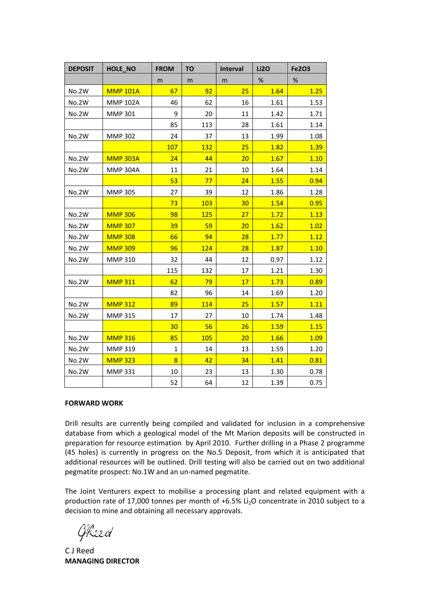| <b>DEPOSIT</b> | HOLE_NO         | <b>FROM</b>    | ΤO  | Interval | <b>Li2O</b> | Fe2O3 |
|----------------|-----------------|----------------|-----|----------|-------------|-------|
|                |                 | m              | m   | m        | %           | %     |
| No.2W          | <b>MMP 101A</b> | 67             | 92  | 25       | 1.64        | 1.25  |
| No.2W          | <b>MMP 102A</b> | 46             | 62  | 16       | 1.61        | 1.53  |
| No.2W          | <b>MMP 301</b>  | 9              | 20  | 11       | 1.42        | 1.71  |
|                |                 | 85             | 113 | 28       | 1.61        | 1.14  |
| No.2W          | <b>MMP 302</b>  | 24             | 37  | 13       | 1.99        | 1.08  |
|                |                 | 107            | 132 | 25       | 1.82        | 1.39  |
| No.2W          | <b>MMP 303A</b> | 24             | 44  | 20       | 1.67        | 1.10  |
| No.2W          | <b>MMP 304A</b> | 11             | 21  | 10       | 1.64        | 1.14  |
|                |                 | 53             | 77  | 24       | 1.55        | 0.94  |
| No.2W          | <b>MMP 305</b>  | 27             | 39  | 12       | 1.86        | 1.28  |
|                |                 | 73             | 103 | 30       | 1.54        | 0.95  |
| <b>No.2W</b>   | <b>MMP 306</b>  | 98             | 125 | 27       | 1.72        | 1.13  |
| No.2W          | <b>MMP 307</b>  | 39             | 59  | 20       | 1.62        | 1.02  |
| No.2W          | <b>MMP 308</b>  | 66             | 94  | 28       | 1.77        | 1.12  |
| No.2W          | <b>MMP 309</b>  | 96             | 124 | 28       | 1.87        | 1.10  |
| No.2W          | <b>MMP 310</b>  | 32             | 44  | 12       | 0.97        | 1.12  |
|                |                 | 115            | 132 | 17       | 1.21        | 1.30  |
| No.2W          | <b>MMP 311</b>  | 62             | 79  | 17       | 1.73        | 0.89  |
|                |                 | 82             | 96  | 14       | 1.69        | 1.20  |
| No.2W          | <b>MMP 312</b>  | 89             | 114 | 25       | 1.57        | 1.11  |
| No.2W          | <b>MMP 315</b>  | 17             | 27  | 10       | 1.74        | 1.48  |
|                |                 | 30             | 56  | 26       | 1.59        | 1.15  |
| No.2W          | <b>MMP 316</b>  | 85             | 105 | 20       | 1.66        | 1.09  |
| No.2W          | <b>MMP 319</b>  | $\mathbf{1}$   | 14  | 13       | 1.59        | 1.20  |
| No.2W          | <b>MMP 323</b>  | $\overline{8}$ | 42  | 34       | 1.41        | 0.81  |
| <b>No.2W</b>   | <b>MMP 331</b>  | 10             | 23  | 13       | 1.30        | 0.78  |
|                |                 | 52             | 64  | 12       | 1.39        | 0.75  |

#### **FORWARD WORK**

Drill results are currently being compiled and validated for inclusion in a comprehensive database from which a geological model of the Mt Marion deposits will be constructed in preparation for resource estimation by April 2010. Further drilling in a Phase 2 programme (45 holes) is currently in progress on the No.5 Deposit, from which it is anticipated that additional resources will be outlined. Drill testing will also be carried out on two additional pegmatite prospect: No.1W and an un‐named pegmatite.

The Joint Venturers expect to mobilise a processing plant and related equipment with a production rate of 17,000 tonnes per month of +6.5% Li<sub>2</sub>O concentrate in 2010 subject to a decision to mine and obtaining all necessary approvals.

GReed

C J Reed **MANAGING DIRECTOR**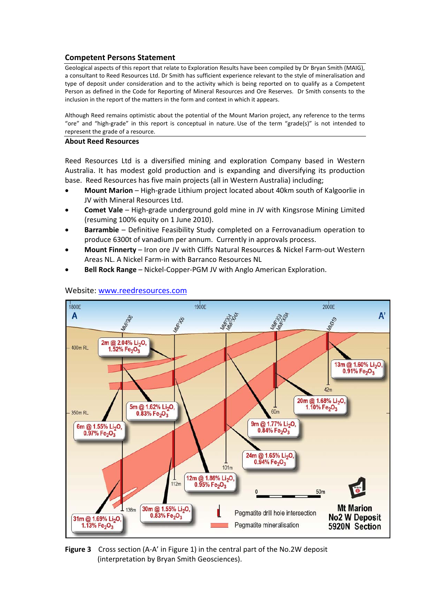## **Competent Persons Statement**

Geological aspects of this report that relate to Exploration Results have been compiled by Dr Bryan Smith (MAIG), a consultant to Reed Resources Ltd. Dr Smith has sufficient experience relevant to the style of mineralisation and type of deposit under consideration and to the activity which is being reported on to qualify as a Competent Person as defined in the Code for Reporting of Mineral Resources and Ore Reserves. Dr Smith consents to the inclusion in the report of the matters in the form and context in which it appears.

Although Reed remains optimistic about the potential of the Mount Marion project, any reference to the terms "ore" and "high‐grade" in this report is conceptual in nature. Use of the term "grade(s)" is not intended to represent the grade of a resource.

#### **About Reed Resources**

Reed Resources Ltd is a diversified mining and exploration Company based in Western Australia. It has modest gold production and is expanding and diversifying its production base. Reed Resources has five main projects (all in Western Australia) including;

- **Mount Marion** High‐grade Lithium project located about 40km south of Kalgoorlie in JV with Mineral Resources Ltd.
- **Comet Vale** High‐grade underground gold mine in JV with Kingsrose Mining Limited (resuming 100% equity on 1 June 2010).
- **Barrambie** Definitive Feasibility Study completed on a Ferrovanadium operation to produce 6300t of vanadium per annum. Currently in approvals process.
- **Mount Finnerty** Iron ore JV with Cliffs Natural Resources & Nickel Farm‐out Western Areas NL. A Nickel Farm‐in with Barranco Resources NL
- **Bell Rock Range** Nickel‐Copper‐PGM JV with Anglo American Exploration.



#### Website: [www.reedresources.com](http://www.reedresources.com/)

**Figure 3** Cross section (A‐A' in Figure 1) in the central part of the No.2W deposit (interpretation by Bryan Smith Geosciences).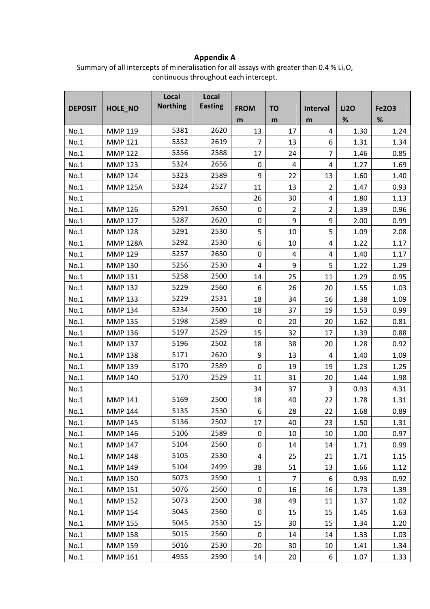# **Appendix A**

Summary of all intercepts of mineralisation for all assays with greater than  $0.4 \%$  Li<sub>2</sub>O, continuous throughout each intercept.

|                |                 | Local           | Local          |                |                |                 |             |              |
|----------------|-----------------|-----------------|----------------|----------------|----------------|-----------------|-------------|--------------|
| <b>DEPOSIT</b> | HOLE_NO         | <b>Northing</b> | <b>Easting</b> | <b>FROM</b>    | <b>TO</b>      | <b>Interval</b> | <b>Li2O</b> | <b>Fe2O3</b> |
|                |                 |                 |                | m              | m              | m               | $\%$        | $\%$         |
| No.1           | <b>MMP 119</b>  | 5381            | 2620           | 13             | 17             | 4               | 1.30        | 1.24         |
| No.1           | <b>MMP 121</b>  | 5352            | 2619           | $\overline{7}$ | 13             | 6               | 1.31        | 1.34         |
| No.1           | <b>MMP 122</b>  | 5356            | 2588           | 17             | 24             | $\overline{7}$  | 1.46        | 0.85         |
| No.1           | <b>MMP 123</b>  | 5324            | 2656           | 0              | 4              | 4               | 1.27        | 1.69         |
| No.1           | <b>MMP 124</b>  | 5323            | 2589           | 9              | 22             | 13              | 1.60        | 1.40         |
| No.1           | <b>MMP 125A</b> | 5324            | 2527           | 11             | 13             | $\overline{2}$  | 1.47        | 0.93         |
| No.1           |                 |                 |                | 26             | 30             | 4               | 1.80        | 1.13         |
| No.1           | <b>MMP 126</b>  | 5291            | 2650           | 0              | $\overline{2}$ | $\overline{2}$  | 1.39        | 0.96         |
| No.1           | <b>MMP 127</b>  | 5287            | 2620           | 0              | 9              | 9               | 2.00        | 0.99         |
| No.1           | <b>MMP 128</b>  | 5291            | 2530           | 5              | 10             | 5               | 1.09        | 2.08         |
| No.1           | <b>MMP 128A</b> | 5292            | 2530           | 6              | 10             | 4               | 1.22        | 1.17         |
| No.1           | <b>MMP 129</b>  | 5257            | 2650           | 0              | $\overline{4}$ | 4               | 1.40        | 1.17         |
| No.1           | <b>MMP 130</b>  | 5256            | 2530           | $\overline{4}$ | 9              | 5               | 1.22        | 1.29         |
| No.1           | <b>MMP 131</b>  | 5258            | 2500           | 14             | 25             | 11              | 1.29        | 0.95         |
| No.1           | <b>MMP 132</b>  | 5229            | 2560           | 6              | 26             | 20              | 1.55        | 1.03         |
| No.1           | <b>MMP 133</b>  | 5229            | 2531           | 18             | 34             | 16              | 1.38        | 1.09         |
| No.1           | <b>MMP 134</b>  | 5234            | 2500           | 18             | 37             | 19              | 1.53        | 0.99         |
| No.1           | <b>MMP 135</b>  | 5198            | 2589           | 0              | 20             | 20              | 1.62        | 0.81         |
| No.1           | <b>MMP 136</b>  | 5197            | 2529           | 15             | 32             | 17              | 1.39        | 0.88         |
| No.1           | <b>MMP 137</b>  | 5196            | 2502           | 18             | 38             | 20              | 1.28        | 0.92         |
| No.1           | <b>MMP 138</b>  | 5171            | 2620           | 9              | 13             | 4               | 1.40        | 1.09         |
| No.1           | <b>MMP 139</b>  | 5170            | 2589           | $\mathbf 0$    | 19             | 19              | 1.23        | 1.25         |
| No.1           | <b>MMP 140</b>  | 5170            | 2529           | 11             | 31             | 20              | 1.44        | 1.98         |
| No.1           |                 |                 |                | 34             | 37             | 3               | 0.93        | 4.31         |
| No.1           | <b>MMP 141</b>  | 5169            | 2500           | 18             | 40             | 22              | 1.78        | 1.31         |
| No.1           | <b>MMP 144</b>  | 5135            | 2530           | 6              | 28             | 22              | 1.68        | 0.89         |
| No.1           | <b>MMP 145</b>  | 5136            | 2502           | 17             | 40             | 23              | 1.50        | 1.31         |
| No.1           | <b>MMP 146</b>  | 5106            | 2589           | 0              | 10             | 10              | 1.00        | 0.97         |
| No.1           | <b>MMP 147</b>  | 5104            | 2560           | 0              | 14             | 14              | 1.71        | 0.99         |
| No.1           | <b>MMP 148</b>  | 5105            | 2530           | 4              | 25             | 21              | 1.71        | 1.15         |
| No.1           | <b>MMP 149</b>  | 5104            | 2499           | 38             | 51             | 13              | 1.66        | 1.12         |
| No.1           | <b>MMP 150</b>  | 5073            | 2590           | $\mathbf{1}$   | $\overline{7}$ | 6               | 0.93        | 0.92         |
| No.1           | <b>MMP 151</b>  | 5076            | 2560           | 0              | 16             | 16              | 1.73        | 1.39         |
| No.1           | <b>MMP 152</b>  | 5073            | 2500           | 38             | 49             | 11              | 1.37        | 1.02         |
| No.1           | <b>MMP 154</b>  | 5045            | 2560           | 0              | 15             | 15              | 1.45        | 1.63         |
| No.1           | <b>MMP 155</b>  | 5045            | 2530           | 15             | 30             | 15              | 1.34        | 1.20         |
| No.1           | <b>MMP 158</b>  | 5015            | 2560           | 0              | 14             | 14              | 1.33        | 1.03         |
| No.1           | <b>MMP 159</b>  | 5016            | 2530           | 20             | 30             | 10              | 1.41        | 1.34         |
| No.1           | <b>MMP 161</b>  | 4955            | 2590           | 14             | 20             | 6               | 1.07        | 1.33         |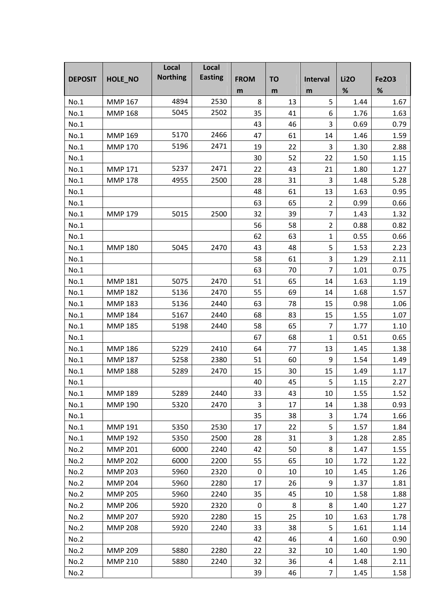|                |                | Local           | Local          |             |           |                  |             |              |
|----------------|----------------|-----------------|----------------|-------------|-----------|------------------|-------------|--------------|
| <b>DEPOSIT</b> | HOLE_NO        | <b>Northing</b> | <b>Easting</b> | <b>FROM</b> | <b>TO</b> | <b>Interval</b>  | <b>Li2O</b> | <b>Fe2O3</b> |
|                |                |                 |                | m           | m         | m                | $\%$        | %            |
| No.1           | <b>MMP 167</b> | 4894            | 2530           | 8           | 13        | 5                | 1.44        | 1.67         |
| No.1           | <b>MMP 168</b> | 5045            | 2502           | 35          | 41        | 6                | 1.76        | 1.63         |
| No.1           |                |                 |                | 43          | 46        | 3                | 0.69        | 0.79         |
| No.1           | <b>MMP 169</b> | 5170            | 2466           | 47          | 61        | 14               | 1.46        | 1.59         |
| No.1           | <b>MMP 170</b> | 5196            | 2471           | 19          | 22        | 3                | 1.30        | 2.88         |
| No.1           |                |                 |                | 30          | 52        | 22               | 1.50        | 1.15         |
| No.1           | <b>MMP 171</b> | 5237            | 2471           | 22          | 43        | 21               | 1.80        | 1.27         |
| No.1           | <b>MMP 178</b> | 4955            | 2500           | 28          | 31        | 3                | 1.48        | 5.28         |
| No.1           |                |                 |                | 48          | 61        | 13               | 1.63        | 0.95         |
| No.1           |                |                 |                | 63          | 65        | $\overline{2}$   | 0.99        | 0.66         |
| No.1           | <b>MMP 179</b> | 5015            | 2500           | 32          | 39        | $\overline{7}$   | 1.43        | 1.32         |
| No.1           |                |                 |                | 56          | 58        | $\overline{2}$   | 0.88        | 0.82         |
| No.1           |                |                 |                | 62          | 63        | 1                | 0.55        | 0.66         |
| No.1           | <b>MMP 180</b> | 5045            | 2470           | 43          | 48        | 5                | 1.53        | 2.23         |
| No.1           |                |                 |                | 58          | 61        | 3                | 1.29        | 2.11         |
| No.1           |                |                 |                | 63          | 70        | 7                | 1.01        | 0.75         |
| No.1           | <b>MMP 181</b> | 5075            | 2470           | 51          | 65        | 14               | 1.63        | 1.19         |
| No.1           | <b>MMP 182</b> | 5136            | 2470           | 55          | 69        | 14               | 1.68        | 1.57         |
| No.1           | <b>MMP 183</b> | 5136            | 2440           | 63          | 78        | 15               | 0.98        | 1.06         |
| No.1           | <b>MMP 184</b> | 5167            | 2440           | 68          | 83        | 15               | 1.55        | 1.07         |
| No.1           | <b>MMP 185</b> | 5198            | 2440           | 58          | 65        | $\overline{7}$   | 1.77        | 1.10         |
| No.1           |                |                 |                | 67          | 68        | 1                | 0.51        | 0.65         |
| No.1           | <b>MMP 186</b> | 5229            | 2410           | 64          | 77        | 13               | 1.45        | 1.38         |
| No.1           | <b>MMP 187</b> | 5258            | 2380           | 51          | 60        | $\boldsymbol{9}$ | 1.54        | 1.49         |
| No.1           | <b>MMP 188</b> | 5289            | 2470           | 15          | 30        | 15               | 1.49        | 1.17         |
| No.1           |                |                 |                | 40          | 45        | 5                | 1.15        | 2.27         |
| No.1           | <b>MMP 189</b> | 5289            | 2440           | 33          | 43        | 10               | 1.55        | 1.52         |
| No.1           | <b>MMP 190</b> | 5320            | 2470           | 3           | 17        | 14               | 1.38        | 0.93         |
| No.1           |                |                 |                | 35          | 38        | 3                | 1.74        | 1.66         |
| No.1           | <b>MMP 191</b> | 5350            | 2530           | 17          | 22        | 5                | 1.57        | 1.84         |
| No.1           | <b>MMP 192</b> | 5350            | 2500           | 28          | 31        | 3                | 1.28        | 2.85         |
| No.2           | <b>MMP 201</b> | 6000            | 2240           | 42          | 50        | 8                | 1.47        | 1.55         |
| No.2           | <b>MMP 202</b> | 6000            | 2200           | 55          | 65        | 10               | 1.72        | 1.22         |
| No.2           | <b>MMP 203</b> | 5960            | 2320           | 0           | 10        | 10               | 1.45        | 1.26         |
| No.2           | <b>MMP 204</b> | 5960            | 2280           | 17          | 26        | 9                | 1.37        | 1.81         |
| No.2           | <b>MMP 205</b> | 5960            | 2240           | 35          | 45        | 10               | 1.58        | 1.88         |
| No.2           | <b>MMP 206</b> | 5920            | 2320           | 0           | 8         | 8                | 1.40        | 1.27         |
| No.2           | <b>MMP 207</b> | 5920            | 2280           | 15          | 25        | 10               | 1.63        | 1.78         |
| No.2           | <b>MMP 208</b> | 5920            | 2240           | 33          | 38        | 5                | 1.61        | 1.14         |
| No.2           |                |                 |                | 42          | 46        | 4                | 1.60        | 0.90         |
| No.2           | <b>MMP 209</b> | 5880            | 2280           | 22          | 32        | 10               | 1.40        | 1.90         |
| No.2           | <b>MMP 210</b> | 5880            | 2240           | 32          | 36        | $\overline{4}$   | 1.48        | 2.11         |
| No.2           |                |                 |                | 39          | 46        | $\overline{7}$   | 1.45        | 1.58         |
|                |                |                 |                |             |           |                  |             |              |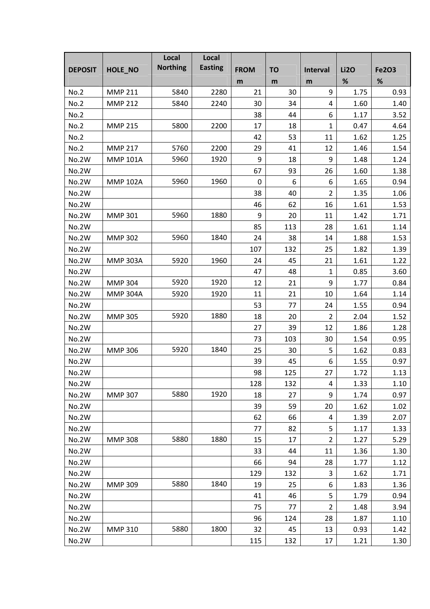| %<br>$\%$<br>m<br>m<br>m<br>9<br>21<br><b>No.2</b><br><b>MMP 211</b><br>5840<br>2280<br>30<br>1.75<br>0.93<br>No.2<br><b>MMP 212</b><br>5840<br>2240<br>30<br>34<br>1.60<br>1.40<br>4<br>6<br>No.2<br>38<br>44<br>1.17<br>3.52<br>No.2<br>17<br>$\mathbf{1}$<br><b>MMP 215</b><br>5800<br>2200<br>18<br>0.47<br>4.64<br>42<br>53<br>11<br>1.62<br>1.25<br>No.2<br>12<br><b>No.2</b><br><b>MMP 217</b><br>5760<br>2200<br>29<br>41<br>1.46<br>1.54<br>5960<br>1920<br>9<br>9<br><b>No.2W</b><br><b>MMP 101A</b><br>18<br>1.48<br>1.24<br><b>No.2W</b><br>93<br>26<br>1.60<br>1.38<br>67<br>5960<br>1960<br>6<br>6<br>1.65<br>0.94<br><b>No.2W</b><br><b>MMP 102A</b><br>$\mathbf 0$<br>$\overline{2}$<br>No.2W<br>38<br>40<br>1.35<br>1.06<br>46<br>62<br>1.61<br>No.2W<br>16<br>1.53<br>5960<br>1880<br>9<br>No.2W<br><b>MMP 301</b><br>20<br>11<br>1.42<br>1.71<br>85<br>28<br>1.14<br>No.2W<br>113<br>1.61<br>5960<br>1840<br>1.88<br>1.53<br><b>No.2W</b><br><b>MMP 302</b><br>24<br>38<br>14<br>1.82<br>No.2W<br>107<br>132<br>25<br>1.39<br>5920<br>45<br>21<br>1.61<br>1.22<br>No.2W<br><b>MMP 303A</b><br>1960<br>24<br>No.2W<br>47<br>48<br>0.85<br>1<br>3.60<br>5920<br>1920<br>9<br>No.2W<br><b>MMP 304</b><br>12<br>21<br>1.77<br>0.84<br>No.2W<br><b>MMP 304A</b><br>5920<br>11<br>21<br>10<br>1.14<br>1920<br>1.64<br><b>No.2W</b><br>53<br>1.55<br>0.94<br>77<br>24<br>5920<br>1880<br>18<br>$\overline{2}$<br>2.04<br>1.52<br><b>No.2W</b><br><b>MMP 305</b><br>20<br>No.2W<br>27<br>39<br>12<br>1.86<br>1.28<br>30<br>No.2W<br>73<br>103<br>1.54<br>0.95<br>5920<br>1840<br>No.2W<br>25<br>5<br>1.62<br>0.83<br><b>MMP 306</b><br>30<br>39<br>45<br>6<br>1.55<br><b>No.2W</b><br>0.97<br>98<br>125<br>1.72<br>No.2W<br>27<br>1.13<br>No.2W<br>128<br>1.33<br>1.10<br>132<br>4<br>5880<br>1920<br>9<br>No.2W<br>18<br>27<br>0.97<br><b>MMP 307</b><br>1.74<br>39<br>No.2W<br>59<br>20<br>1.62<br>1.02<br>No.2W<br>62<br>66<br>4<br>1.39<br>2.07<br>5<br>No.2W<br>77<br>82<br>1.17<br>1.33<br>$\overline{2}$<br>5880<br>1880<br>15<br>1.27<br>No.2W<br><b>MMP 308</b><br>17<br>5.29<br>1.36<br>No.2W<br>33<br>44<br>11<br>1.30<br>No.2W<br>66<br>94<br>28<br>1.77<br>1.12<br>3<br>No.2W<br>129<br>1.71<br>132<br>1.62<br>5880<br>1840<br>No.2W<br>19<br><b>MMP 309</b><br>25<br>6<br>1.83<br>1.36<br>5<br>No.2W<br>41<br>46<br>1.79<br>0.94<br>75<br>No.2W<br>77<br>$\overline{2}$<br>1.48<br>3.94<br>No.2W<br>96<br>124<br>28<br>1.87<br>1.10<br>5880<br>1800<br>No.2W<br><b>MMP 310</b><br>32<br>45<br>13<br>0.93<br>1.42 |                |         | Local<br><b>Northing</b> | Local<br><b>Easting</b> |             |           |                 |             |              |
|-------------------------------------------------------------------------------------------------------------------------------------------------------------------------------------------------------------------------------------------------------------------------------------------------------------------------------------------------------------------------------------------------------------------------------------------------------------------------------------------------------------------------------------------------------------------------------------------------------------------------------------------------------------------------------------------------------------------------------------------------------------------------------------------------------------------------------------------------------------------------------------------------------------------------------------------------------------------------------------------------------------------------------------------------------------------------------------------------------------------------------------------------------------------------------------------------------------------------------------------------------------------------------------------------------------------------------------------------------------------------------------------------------------------------------------------------------------------------------------------------------------------------------------------------------------------------------------------------------------------------------------------------------------------------------------------------------------------------------------------------------------------------------------------------------------------------------------------------------------------------------------------------------------------------------------------------------------------------------------------------------------------------------------------------------------------------------------------------------------------------------------------------------------------------------------------------------------------------------------------------------------------------------------------------------------------------------------------------------------------------------------------------------------------------------------------------------------------------------------------------------------------------------------------|----------------|---------|--------------------------|-------------------------|-------------|-----------|-----------------|-------------|--------------|
|                                                                                                                                                                                                                                                                                                                                                                                                                                                                                                                                                                                                                                                                                                                                                                                                                                                                                                                                                                                                                                                                                                                                                                                                                                                                                                                                                                                                                                                                                                                                                                                                                                                                                                                                                                                                                                                                                                                                                                                                                                                                                                                                                                                                                                                                                                                                                                                                                                                                                                                                           | <b>DEPOSIT</b> | HOLE_NO |                          |                         | <b>FROM</b> | <b>TO</b> | <b>Interval</b> | <b>Li2O</b> | <b>Fe2O3</b> |
|                                                                                                                                                                                                                                                                                                                                                                                                                                                                                                                                                                                                                                                                                                                                                                                                                                                                                                                                                                                                                                                                                                                                                                                                                                                                                                                                                                                                                                                                                                                                                                                                                                                                                                                                                                                                                                                                                                                                                                                                                                                                                                                                                                                                                                                                                                                                                                                                                                                                                                                                           |                |         |                          |                         |             |           |                 |             |              |
|                                                                                                                                                                                                                                                                                                                                                                                                                                                                                                                                                                                                                                                                                                                                                                                                                                                                                                                                                                                                                                                                                                                                                                                                                                                                                                                                                                                                                                                                                                                                                                                                                                                                                                                                                                                                                                                                                                                                                                                                                                                                                                                                                                                                                                                                                                                                                                                                                                                                                                                                           |                |         |                          |                         |             |           |                 |             |              |
|                                                                                                                                                                                                                                                                                                                                                                                                                                                                                                                                                                                                                                                                                                                                                                                                                                                                                                                                                                                                                                                                                                                                                                                                                                                                                                                                                                                                                                                                                                                                                                                                                                                                                                                                                                                                                                                                                                                                                                                                                                                                                                                                                                                                                                                                                                                                                                                                                                                                                                                                           |                |         |                          |                         |             |           |                 |             |              |
|                                                                                                                                                                                                                                                                                                                                                                                                                                                                                                                                                                                                                                                                                                                                                                                                                                                                                                                                                                                                                                                                                                                                                                                                                                                                                                                                                                                                                                                                                                                                                                                                                                                                                                                                                                                                                                                                                                                                                                                                                                                                                                                                                                                                                                                                                                                                                                                                                                                                                                                                           |                |         |                          |                         |             |           |                 |             |              |
|                                                                                                                                                                                                                                                                                                                                                                                                                                                                                                                                                                                                                                                                                                                                                                                                                                                                                                                                                                                                                                                                                                                                                                                                                                                                                                                                                                                                                                                                                                                                                                                                                                                                                                                                                                                                                                                                                                                                                                                                                                                                                                                                                                                                                                                                                                                                                                                                                                                                                                                                           |                |         |                          |                         |             |           |                 |             |              |
|                                                                                                                                                                                                                                                                                                                                                                                                                                                                                                                                                                                                                                                                                                                                                                                                                                                                                                                                                                                                                                                                                                                                                                                                                                                                                                                                                                                                                                                                                                                                                                                                                                                                                                                                                                                                                                                                                                                                                                                                                                                                                                                                                                                                                                                                                                                                                                                                                                                                                                                                           |                |         |                          |                         |             |           |                 |             |              |
|                                                                                                                                                                                                                                                                                                                                                                                                                                                                                                                                                                                                                                                                                                                                                                                                                                                                                                                                                                                                                                                                                                                                                                                                                                                                                                                                                                                                                                                                                                                                                                                                                                                                                                                                                                                                                                                                                                                                                                                                                                                                                                                                                                                                                                                                                                                                                                                                                                                                                                                                           |                |         |                          |                         |             |           |                 |             |              |
|                                                                                                                                                                                                                                                                                                                                                                                                                                                                                                                                                                                                                                                                                                                                                                                                                                                                                                                                                                                                                                                                                                                                                                                                                                                                                                                                                                                                                                                                                                                                                                                                                                                                                                                                                                                                                                                                                                                                                                                                                                                                                                                                                                                                                                                                                                                                                                                                                                                                                                                                           |                |         |                          |                         |             |           |                 |             |              |
|                                                                                                                                                                                                                                                                                                                                                                                                                                                                                                                                                                                                                                                                                                                                                                                                                                                                                                                                                                                                                                                                                                                                                                                                                                                                                                                                                                                                                                                                                                                                                                                                                                                                                                                                                                                                                                                                                                                                                                                                                                                                                                                                                                                                                                                                                                                                                                                                                                                                                                                                           |                |         |                          |                         |             |           |                 |             |              |
|                                                                                                                                                                                                                                                                                                                                                                                                                                                                                                                                                                                                                                                                                                                                                                                                                                                                                                                                                                                                                                                                                                                                                                                                                                                                                                                                                                                                                                                                                                                                                                                                                                                                                                                                                                                                                                                                                                                                                                                                                                                                                                                                                                                                                                                                                                                                                                                                                                                                                                                                           |                |         |                          |                         |             |           |                 |             |              |
|                                                                                                                                                                                                                                                                                                                                                                                                                                                                                                                                                                                                                                                                                                                                                                                                                                                                                                                                                                                                                                                                                                                                                                                                                                                                                                                                                                                                                                                                                                                                                                                                                                                                                                                                                                                                                                                                                                                                                                                                                                                                                                                                                                                                                                                                                                                                                                                                                                                                                                                                           |                |         |                          |                         |             |           |                 |             |              |
|                                                                                                                                                                                                                                                                                                                                                                                                                                                                                                                                                                                                                                                                                                                                                                                                                                                                                                                                                                                                                                                                                                                                                                                                                                                                                                                                                                                                                                                                                                                                                                                                                                                                                                                                                                                                                                                                                                                                                                                                                                                                                                                                                                                                                                                                                                                                                                                                                                                                                                                                           |                |         |                          |                         |             |           |                 |             |              |
|                                                                                                                                                                                                                                                                                                                                                                                                                                                                                                                                                                                                                                                                                                                                                                                                                                                                                                                                                                                                                                                                                                                                                                                                                                                                                                                                                                                                                                                                                                                                                                                                                                                                                                                                                                                                                                                                                                                                                                                                                                                                                                                                                                                                                                                                                                                                                                                                                                                                                                                                           |                |         |                          |                         |             |           |                 |             |              |
|                                                                                                                                                                                                                                                                                                                                                                                                                                                                                                                                                                                                                                                                                                                                                                                                                                                                                                                                                                                                                                                                                                                                                                                                                                                                                                                                                                                                                                                                                                                                                                                                                                                                                                                                                                                                                                                                                                                                                                                                                                                                                                                                                                                                                                                                                                                                                                                                                                                                                                                                           |                |         |                          |                         |             |           |                 |             |              |
|                                                                                                                                                                                                                                                                                                                                                                                                                                                                                                                                                                                                                                                                                                                                                                                                                                                                                                                                                                                                                                                                                                                                                                                                                                                                                                                                                                                                                                                                                                                                                                                                                                                                                                                                                                                                                                                                                                                                                                                                                                                                                                                                                                                                                                                                                                                                                                                                                                                                                                                                           |                |         |                          |                         |             |           |                 |             |              |
|                                                                                                                                                                                                                                                                                                                                                                                                                                                                                                                                                                                                                                                                                                                                                                                                                                                                                                                                                                                                                                                                                                                                                                                                                                                                                                                                                                                                                                                                                                                                                                                                                                                                                                                                                                                                                                                                                                                                                                                                                                                                                                                                                                                                                                                                                                                                                                                                                                                                                                                                           |                |         |                          |                         |             |           |                 |             |              |
|                                                                                                                                                                                                                                                                                                                                                                                                                                                                                                                                                                                                                                                                                                                                                                                                                                                                                                                                                                                                                                                                                                                                                                                                                                                                                                                                                                                                                                                                                                                                                                                                                                                                                                                                                                                                                                                                                                                                                                                                                                                                                                                                                                                                                                                                                                                                                                                                                                                                                                                                           |                |         |                          |                         |             |           |                 |             |              |
|                                                                                                                                                                                                                                                                                                                                                                                                                                                                                                                                                                                                                                                                                                                                                                                                                                                                                                                                                                                                                                                                                                                                                                                                                                                                                                                                                                                                                                                                                                                                                                                                                                                                                                                                                                                                                                                                                                                                                                                                                                                                                                                                                                                                                                                                                                                                                                                                                                                                                                                                           |                |         |                          |                         |             |           |                 |             |              |
|                                                                                                                                                                                                                                                                                                                                                                                                                                                                                                                                                                                                                                                                                                                                                                                                                                                                                                                                                                                                                                                                                                                                                                                                                                                                                                                                                                                                                                                                                                                                                                                                                                                                                                                                                                                                                                                                                                                                                                                                                                                                                                                                                                                                                                                                                                                                                                                                                                                                                                                                           |                |         |                          |                         |             |           |                 |             |              |
|                                                                                                                                                                                                                                                                                                                                                                                                                                                                                                                                                                                                                                                                                                                                                                                                                                                                                                                                                                                                                                                                                                                                                                                                                                                                                                                                                                                                                                                                                                                                                                                                                                                                                                                                                                                                                                                                                                                                                                                                                                                                                                                                                                                                                                                                                                                                                                                                                                                                                                                                           |                |         |                          |                         |             |           |                 |             |              |
|                                                                                                                                                                                                                                                                                                                                                                                                                                                                                                                                                                                                                                                                                                                                                                                                                                                                                                                                                                                                                                                                                                                                                                                                                                                                                                                                                                                                                                                                                                                                                                                                                                                                                                                                                                                                                                                                                                                                                                                                                                                                                                                                                                                                                                                                                                                                                                                                                                                                                                                                           |                |         |                          |                         |             |           |                 |             |              |
|                                                                                                                                                                                                                                                                                                                                                                                                                                                                                                                                                                                                                                                                                                                                                                                                                                                                                                                                                                                                                                                                                                                                                                                                                                                                                                                                                                                                                                                                                                                                                                                                                                                                                                                                                                                                                                                                                                                                                                                                                                                                                                                                                                                                                                                                                                                                                                                                                                                                                                                                           |                |         |                          |                         |             |           |                 |             |              |
|                                                                                                                                                                                                                                                                                                                                                                                                                                                                                                                                                                                                                                                                                                                                                                                                                                                                                                                                                                                                                                                                                                                                                                                                                                                                                                                                                                                                                                                                                                                                                                                                                                                                                                                                                                                                                                                                                                                                                                                                                                                                                                                                                                                                                                                                                                                                                                                                                                                                                                                                           |                |         |                          |                         |             |           |                 |             |              |
|                                                                                                                                                                                                                                                                                                                                                                                                                                                                                                                                                                                                                                                                                                                                                                                                                                                                                                                                                                                                                                                                                                                                                                                                                                                                                                                                                                                                                                                                                                                                                                                                                                                                                                                                                                                                                                                                                                                                                                                                                                                                                                                                                                                                                                                                                                                                                                                                                                                                                                                                           |                |         |                          |                         |             |           |                 |             |              |
|                                                                                                                                                                                                                                                                                                                                                                                                                                                                                                                                                                                                                                                                                                                                                                                                                                                                                                                                                                                                                                                                                                                                                                                                                                                                                                                                                                                                                                                                                                                                                                                                                                                                                                                                                                                                                                                                                                                                                                                                                                                                                                                                                                                                                                                                                                                                                                                                                                                                                                                                           |                |         |                          |                         |             |           |                 |             |              |
|                                                                                                                                                                                                                                                                                                                                                                                                                                                                                                                                                                                                                                                                                                                                                                                                                                                                                                                                                                                                                                                                                                                                                                                                                                                                                                                                                                                                                                                                                                                                                                                                                                                                                                                                                                                                                                                                                                                                                                                                                                                                                                                                                                                                                                                                                                                                                                                                                                                                                                                                           |                |         |                          |                         |             |           |                 |             |              |
|                                                                                                                                                                                                                                                                                                                                                                                                                                                                                                                                                                                                                                                                                                                                                                                                                                                                                                                                                                                                                                                                                                                                                                                                                                                                                                                                                                                                                                                                                                                                                                                                                                                                                                                                                                                                                                                                                                                                                                                                                                                                                                                                                                                                                                                                                                                                                                                                                                                                                                                                           |                |         |                          |                         |             |           |                 |             |              |
|                                                                                                                                                                                                                                                                                                                                                                                                                                                                                                                                                                                                                                                                                                                                                                                                                                                                                                                                                                                                                                                                                                                                                                                                                                                                                                                                                                                                                                                                                                                                                                                                                                                                                                                                                                                                                                                                                                                                                                                                                                                                                                                                                                                                                                                                                                                                                                                                                                                                                                                                           |                |         |                          |                         |             |           |                 |             |              |
|                                                                                                                                                                                                                                                                                                                                                                                                                                                                                                                                                                                                                                                                                                                                                                                                                                                                                                                                                                                                                                                                                                                                                                                                                                                                                                                                                                                                                                                                                                                                                                                                                                                                                                                                                                                                                                                                                                                                                                                                                                                                                                                                                                                                                                                                                                                                                                                                                                                                                                                                           |                |         |                          |                         |             |           |                 |             |              |
|                                                                                                                                                                                                                                                                                                                                                                                                                                                                                                                                                                                                                                                                                                                                                                                                                                                                                                                                                                                                                                                                                                                                                                                                                                                                                                                                                                                                                                                                                                                                                                                                                                                                                                                                                                                                                                                                                                                                                                                                                                                                                                                                                                                                                                                                                                                                                                                                                                                                                                                                           |                |         |                          |                         |             |           |                 |             |              |
|                                                                                                                                                                                                                                                                                                                                                                                                                                                                                                                                                                                                                                                                                                                                                                                                                                                                                                                                                                                                                                                                                                                                                                                                                                                                                                                                                                                                                                                                                                                                                                                                                                                                                                                                                                                                                                                                                                                                                                                                                                                                                                                                                                                                                                                                                                                                                                                                                                                                                                                                           |                |         |                          |                         |             |           |                 |             |              |
|                                                                                                                                                                                                                                                                                                                                                                                                                                                                                                                                                                                                                                                                                                                                                                                                                                                                                                                                                                                                                                                                                                                                                                                                                                                                                                                                                                                                                                                                                                                                                                                                                                                                                                                                                                                                                                                                                                                                                                                                                                                                                                                                                                                                                                                                                                                                                                                                                                                                                                                                           |                |         |                          |                         |             |           |                 |             |              |
|                                                                                                                                                                                                                                                                                                                                                                                                                                                                                                                                                                                                                                                                                                                                                                                                                                                                                                                                                                                                                                                                                                                                                                                                                                                                                                                                                                                                                                                                                                                                                                                                                                                                                                                                                                                                                                                                                                                                                                                                                                                                                                                                                                                                                                                                                                                                                                                                                                                                                                                                           |                |         |                          |                         |             |           |                 |             |              |
|                                                                                                                                                                                                                                                                                                                                                                                                                                                                                                                                                                                                                                                                                                                                                                                                                                                                                                                                                                                                                                                                                                                                                                                                                                                                                                                                                                                                                                                                                                                                                                                                                                                                                                                                                                                                                                                                                                                                                                                                                                                                                                                                                                                                                                                                                                                                                                                                                                                                                                                                           |                |         |                          |                         |             |           |                 |             |              |
|                                                                                                                                                                                                                                                                                                                                                                                                                                                                                                                                                                                                                                                                                                                                                                                                                                                                                                                                                                                                                                                                                                                                                                                                                                                                                                                                                                                                                                                                                                                                                                                                                                                                                                                                                                                                                                                                                                                                                                                                                                                                                                                                                                                                                                                                                                                                                                                                                                                                                                                                           |                |         |                          |                         |             |           |                 |             |              |
|                                                                                                                                                                                                                                                                                                                                                                                                                                                                                                                                                                                                                                                                                                                                                                                                                                                                                                                                                                                                                                                                                                                                                                                                                                                                                                                                                                                                                                                                                                                                                                                                                                                                                                                                                                                                                                                                                                                                                                                                                                                                                                                                                                                                                                                                                                                                                                                                                                                                                                                                           |                |         |                          |                         |             |           |                 |             |              |
|                                                                                                                                                                                                                                                                                                                                                                                                                                                                                                                                                                                                                                                                                                                                                                                                                                                                                                                                                                                                                                                                                                                                                                                                                                                                                                                                                                                                                                                                                                                                                                                                                                                                                                                                                                                                                                                                                                                                                                                                                                                                                                                                                                                                                                                                                                                                                                                                                                                                                                                                           |                |         |                          |                         |             |           |                 |             |              |
|                                                                                                                                                                                                                                                                                                                                                                                                                                                                                                                                                                                                                                                                                                                                                                                                                                                                                                                                                                                                                                                                                                                                                                                                                                                                                                                                                                                                                                                                                                                                                                                                                                                                                                                                                                                                                                                                                                                                                                                                                                                                                                                                                                                                                                                                                                                                                                                                                                                                                                                                           |                |         |                          |                         |             |           |                 |             |              |
|                                                                                                                                                                                                                                                                                                                                                                                                                                                                                                                                                                                                                                                                                                                                                                                                                                                                                                                                                                                                                                                                                                                                                                                                                                                                                                                                                                                                                                                                                                                                                                                                                                                                                                                                                                                                                                                                                                                                                                                                                                                                                                                                                                                                                                                                                                                                                                                                                                                                                                                                           |                |         |                          |                         |             |           |                 |             |              |
|                                                                                                                                                                                                                                                                                                                                                                                                                                                                                                                                                                                                                                                                                                                                                                                                                                                                                                                                                                                                                                                                                                                                                                                                                                                                                                                                                                                                                                                                                                                                                                                                                                                                                                                                                                                                                                                                                                                                                                                                                                                                                                                                                                                                                                                                                                                                                                                                                                                                                                                                           |                |         |                          |                         |             |           |                 |             |              |
|                                                                                                                                                                                                                                                                                                                                                                                                                                                                                                                                                                                                                                                                                                                                                                                                                                                                                                                                                                                                                                                                                                                                                                                                                                                                                                                                                                                                                                                                                                                                                                                                                                                                                                                                                                                                                                                                                                                                                                                                                                                                                                                                                                                                                                                                                                                                                                                                                                                                                                                                           |                |         |                          |                         |             |           |                 |             |              |
|                                                                                                                                                                                                                                                                                                                                                                                                                                                                                                                                                                                                                                                                                                                                                                                                                                                                                                                                                                                                                                                                                                                                                                                                                                                                                                                                                                                                                                                                                                                                                                                                                                                                                                                                                                                                                                                                                                                                                                                                                                                                                                                                                                                                                                                                                                                                                                                                                                                                                                                                           | No.2W          |         |                          |                         | 115         | 132       | 17              | 1.21        | 1.30         |